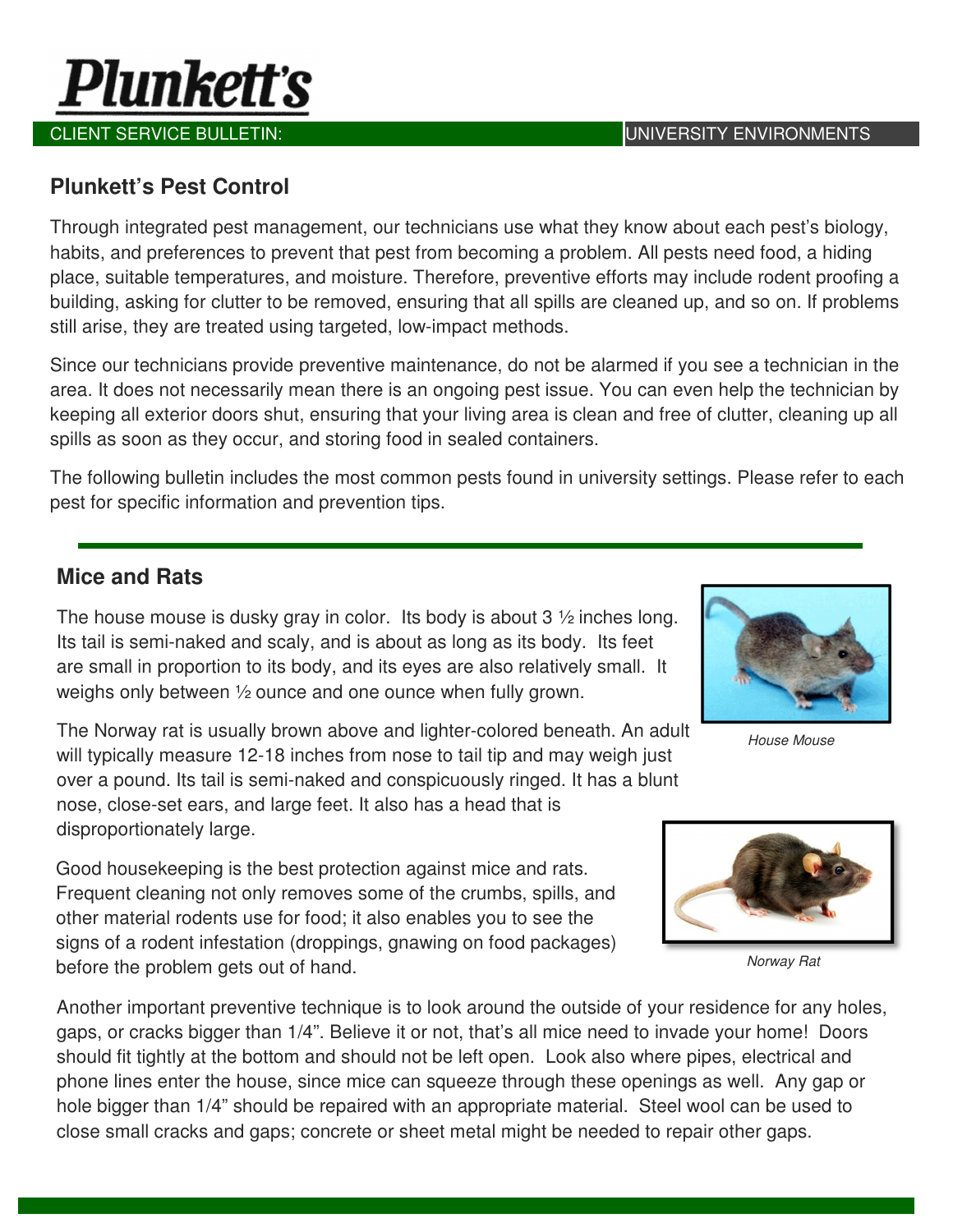

#### **Plunkett's Pest Control**

Through integrated pest management, our technicians use what they know about each pest's biology, habits, and preferences to prevent that pest from becoming a problem. All pests need food, a hiding place, suitable temperatures, and moisture. Therefore, preventive efforts may include rodent proofing a building, asking for clutter to be removed, ensuring that all spills are cleaned up, and so on. If problems still arise, they are treated using targeted, low-impact methods.

Since our technicians provide preventive maintenance, do not be alarmed if you see a technician in the area. It does not necessarily mean there is an ongoing pest issue. You can even help the technician by keeping all exterior doors shut, ensuring that your living area is clean and free of clutter, cleaning up all spills as soon as they occur, and storing food in sealed containers.

The following bulletin includes the most common pests found in university settings. Please refer to each pest for specific information and prevention tips.

#### **Mice and Rats**

The house mouse is dusky gray in color. Its body is about  $3\frac{1}{2}$  inches long. Its tail is semi-naked and scaly, and is about as long as its body. Its feet are small in proportion to its body, and its eyes are also relatively small. It weighs only between ½ ounce and one ounce when fully grown.

The Norway rat is usually brown above and lighter-colored beneath. An adult will typically measure 12-18 inches from nose to tail tip and may weigh just over a pound. Its tail is semi-naked and conspicuously ringed. It has a blunt nose, close-set ears, and large feet. It also has a head that is disproportionately large.

Good housekeeping is the best protection against mice and rats. Frequent cleaning not only removes some of the crumbs, spills, and other material rodents use for food; it also enables you to see the signs of a rodent infestation (droppings, gnawing on food packages) before the problem gets out of hand.

Another important preventive technique is to look around the outside of your residence for any holes, gaps, or cracks bigger than 1/4". Believe it or not, that's all mice need to invade your home! Doors should fit tightly at the bottom and should not be left open. Look also where pipes, electrical and phone lines enter the house, since mice can squeeze through these openings as well. Any gap or hole bigger than 1/4" should be repaired with an appropriate material. Steel wool can be used to close small cracks and gaps; concrete or sheet metal might be needed to repair other gaps.



House Mouse



Norway Rat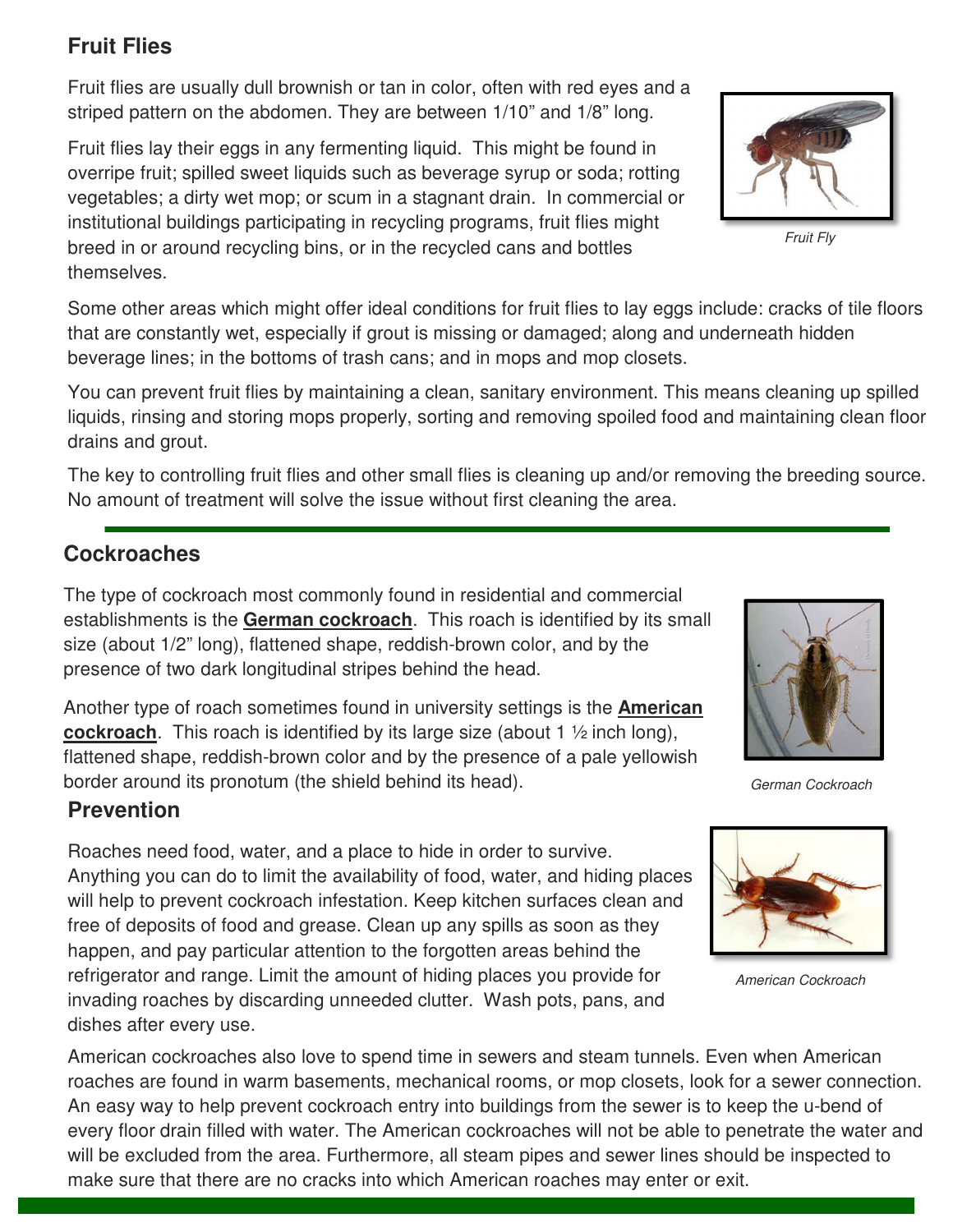### **Fruit Flies**

Fruit flies are usually dull brownish or tan in color, often with red eyes and a striped pattern on the abdomen. They are between 1/10" and 1/8" long.

Fruit flies lay their eggs in any fermenting liquid. This might be found in overripe fruit; spilled sweet liquids such as beverage syrup or soda; rotting vegetables; a dirty wet mop; or scum in a stagnant drain. In commercial or institutional buildings participating in recycling programs, fruit flies might breed in or around recycling bins, or in the recycled cans and bottles themselves.

Some other areas which might offer ideal conditions for fruit flies to lay eggs include: cracks of tile floors that are constantly wet, especially if grout is missing or damaged; along and underneath hidden beverage lines; in the bottoms of trash cans; and in mops and mop closets.

You can prevent fruit flies by maintaining a clean, sanitary environment. This means cleaning up spilled liquids, rinsing and storing mops properly, sorting and removing spoiled food and maintaining clean floor drains and grout.

The key to controlling fruit flies and other small flies is cleaning up and/or removing the breeding source. No amount of treatment will solve the issue without first cleaning the area.

#### **Cockroaches**

The type of cockroach most commonly found in residential and commercial establishments is the **German cockroach**. This roach is identified by its small size (about 1/2" long), flattened shape, reddish-brown color, and by the presence of two dark longitudinal stripes behind the head.

Another type of roach sometimes found in university settings is the **American cockroach**. This roach is identified by its large size (about 1 ½ inch long), flattened shape, reddish-brown color and by the presence of a pale yellowish border around its pronotum (the shield behind its head). German Cockroach

#### **Prevention**

Roaches need food, water, and a place to hide in order to survive. Anything you can do to limit the availability of food, water, and hiding places will help to prevent cockroach infestation. Keep kitchen surfaces clean and free of deposits of food and grease. Clean up any spills as soon as they happen, and pay particular attention to the forgotten areas behind the refrigerator and range. Limit the amount of hiding places you provide for invading roaches by discarding unneeded clutter. Wash pots, pans, and dishes after every use.

American cockroaches also love to spend time in sewers and steam tunnels. Even when American roaches are found in warm basements, mechanical rooms, or mop closets, look for a sewer connection. An easy way to help prevent cockroach entry into buildings from the sewer is to keep the u-bend of every floor drain filled with water. The American cockroaches will not be able to penetrate the water and will be excluded from the area. Furthermore, all steam pipes and sewer lines should be inspected to make sure that there are no cracks into which American roaches may enter or exit.







American Cockroach

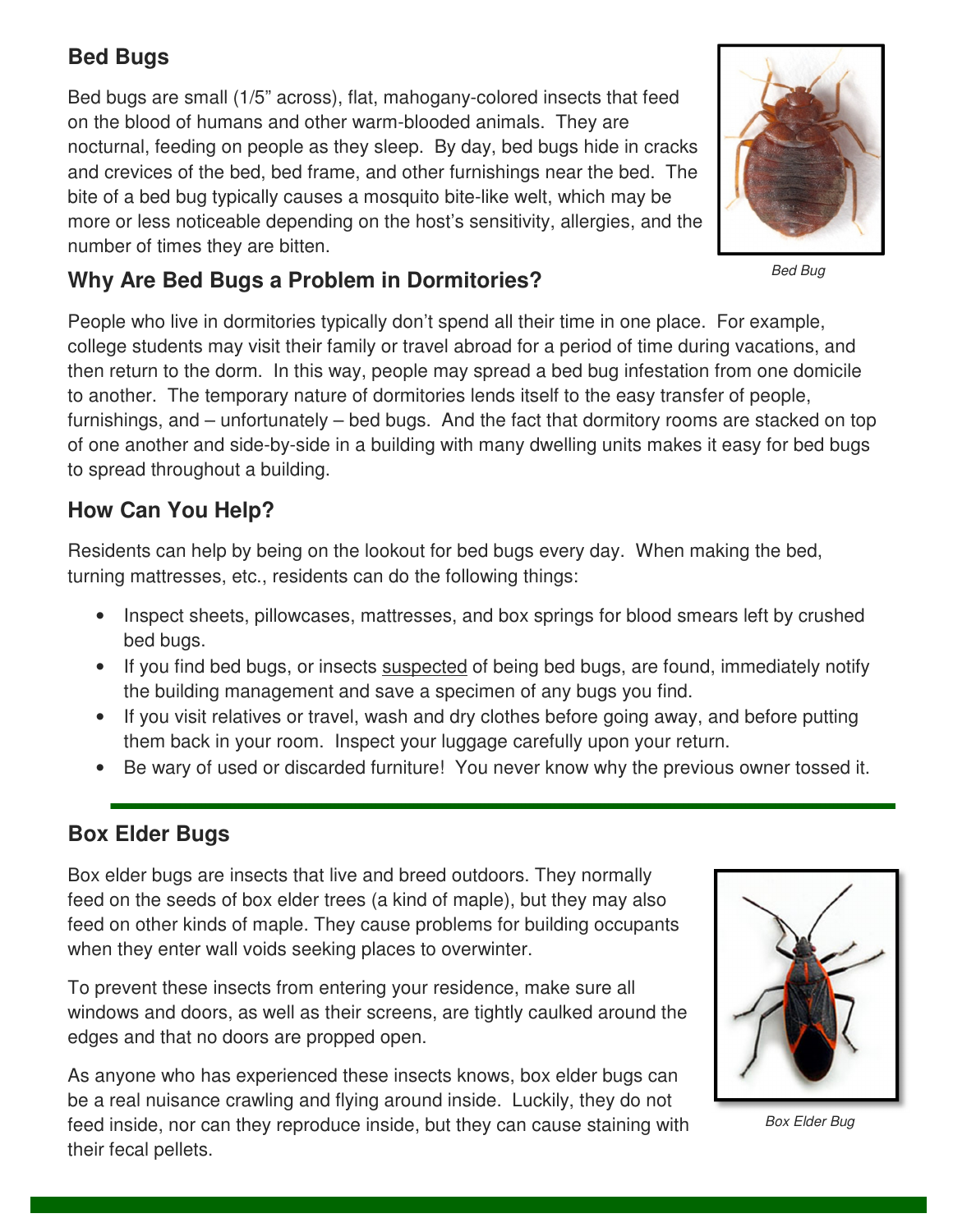### **Bed Bugs**

Bed bugs are small (1/5" across), flat, mahogany-colored insects that feed on the blood of humans and other warm-blooded animals. They are nocturnal, feeding on people as they sleep. By day, bed bugs hide in cracks and crevices of the bed, bed frame, and other furnishings near the bed. The bite of a bed bug typically causes a mosquito bite-like welt, which may be more or less noticeable depending on the host's sensitivity, allergies, and the number of times they are bitten.



Bed Bug

### **Why Are Bed Bugs a Problem in Dormitories?**

People who live in dormitories typically don't spend all their time in one place. For example, college students may visit their family or travel abroad for a period of time during vacations, and then return to the dorm. In this way, people may spread a bed bug infestation from one domicile to another. The temporary nature of dormitories lends itself to the easy transfer of people, furnishings, and – unfortunately – bed bugs. And the fact that dormitory rooms are stacked on top of one another and side-by-side in a building with many dwelling units makes it easy for bed bugs to spread throughout a building.

#### **How Can You Help?**

Residents can help by being on the lookout for bed bugs every day. When making the bed, turning mattresses, etc., residents can do the following things:

- Inspect sheets, pillowcases, mattresses, and box springs for blood smears left by crushed bed bugs.
- If you find bed bugs, or insects suspected of being bed bugs, are found, immediately notify the building management and save a specimen of any bugs you find.
- If you visit relatives or travel, wash and dry clothes before going away, and before putting them back in your room. Inspect your luggage carefully upon your return.
- Be wary of used or discarded furniture! You never know why the previous owner tossed it.

#### **Box Elder Bugs**

Box elder bugs are insects that live and breed outdoors. They normally feed on the seeds of box elder trees (a kind of maple), but they may also feed on other kinds of maple. They cause problems for building occupants when they enter wall voids seeking places to overwinter.

To prevent these insects from entering your residence, make sure all windows and doors, as well as their screens, are tightly caulked around the edges and that no doors are propped open.

As anyone who has experienced these insects knows, box elder bugs can be a real nuisance crawling and flying around inside. Luckily, they do not feed inside, nor can they reproduce inside, but they can cause staining with their fecal pellets.



Box Elder Bug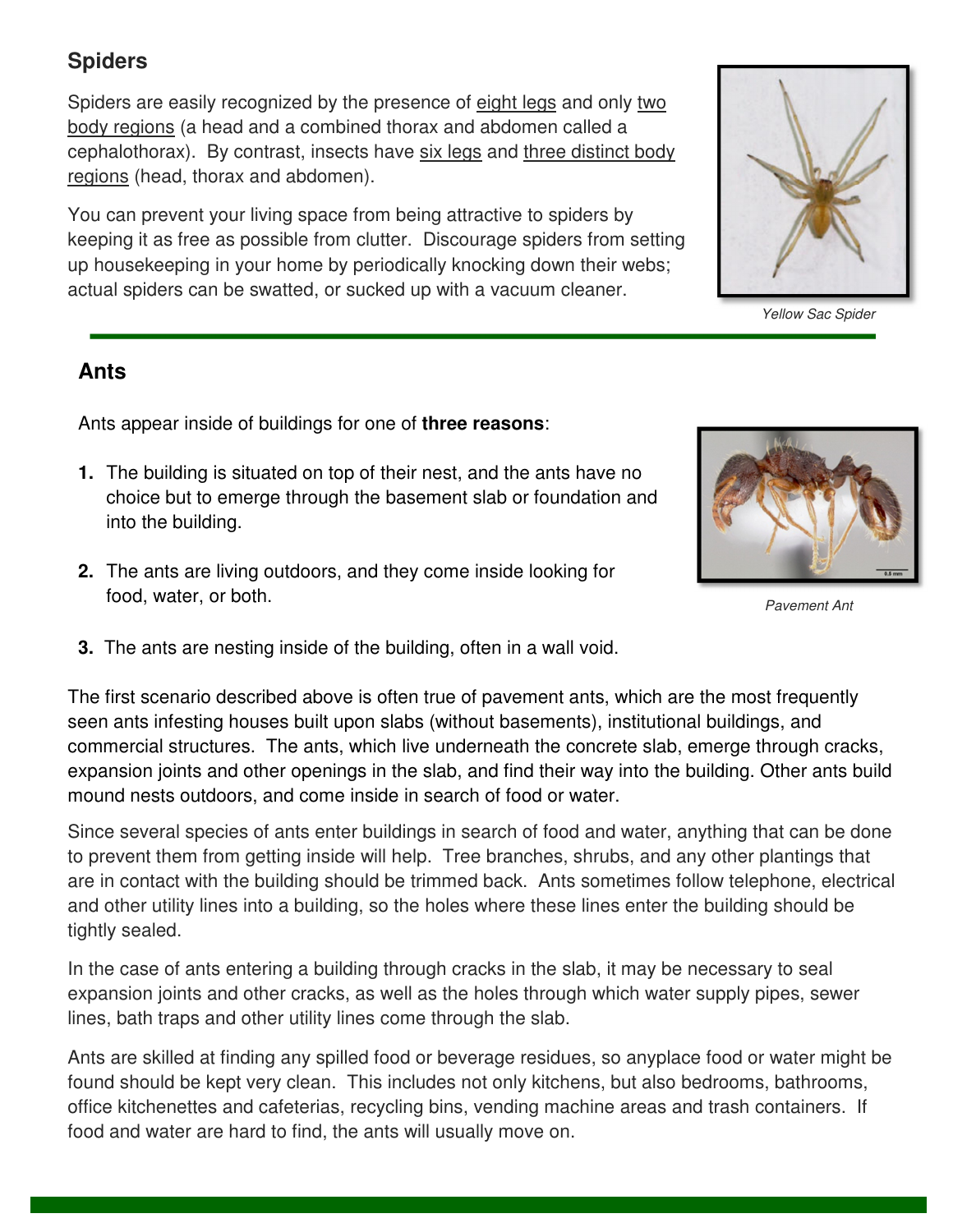#### **Spiders**

Spiders are easily recognized by the presence of eight legs and only two bedy regions (a beed and a sembined there y and abdeman called a body regions (a head and a combined thorax and abdomen called a cephalothorax). By contrast, insects have six legs and three distinct body regions (head, thorax and abdomen).

You can prevent your living space from being attractive to spiders by keeping it as free as possible from clutter. Discourage spiders from setting up housekeeping in your home by periodically knocking down their webs; actual spiders can be swatted, or sucked up with a vacuum cleaner.

#### **Ants**

Ants appear inside of buildings for one of **three reasons**:

- **1.** The building is situated on top of their nest, and the ants have no choice but to emerge through the basement slab or foundation and into the building.
- **2.** The ants are living outdoors, and they come inside looking for food, water, or both.
- **3.** The ants are nesting inside of the building, often in a wall void.

The first scenario described above is often true of pavement ants, which are the most frequently seen ants infesting houses built upon slabs (without basements), institutional buildings, and commercial structures. The ants, which live underneath the concrete slab, emerge through cracks, expansion joints and other openings in the slab, and find their way into the building. Other ants build mound nests outdoors, and come inside in search of food or water.

Since several species of ants enter buildings in search of food and water, anything that can be done to prevent them from getting inside will help. Tree branches, shrubs, and any other plantings that are in contact with the building should be trimmed back. Ants sometimes follow telephone, electrical and other utility lines into a building, so the holes where these lines enter the building should be tightly sealed.

In the case of ants entering a building through cracks in the slab, it may be necessary to seal expansion joints and other cracks, as well as the holes through which water supply pipes, sewer lines, bath traps and other utility lines come through the slab.

Ants are skilled at finding any spilled food or beverage residues, so anyplace food or water might be found should be kept very clean. This includes not only kitchens, but also bedrooms, bathrooms, office kitchenettes and cafeterias, recycling bins, vending machine areas and trash containers. If food and water are hard to find, the ants will usually move on.



Pavement Ant

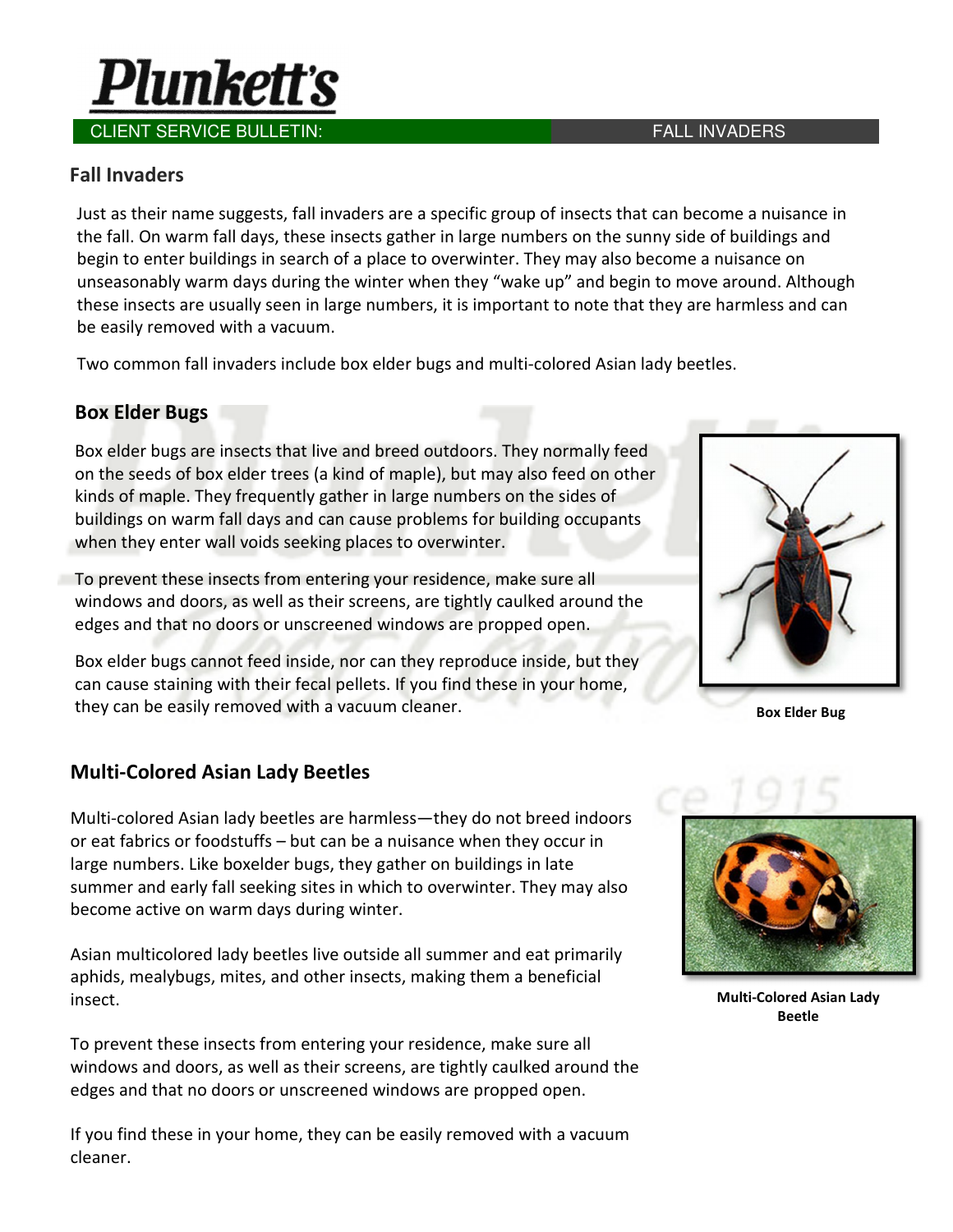

#### Fall Invaders

Just as their name suggests, fall invaders are a specific group of insects that can become a nuisance in the fall. On warm fall days, these insects gather in large numbers on the sunny side of buildings and begin to enter buildings in search of a place to overwinter. They may also become a nuisance on unseasonably warm days during the winter when they "wake up" and begin to move around. Although these insects are usually seen in large numbers, it is important to note that they are harmless and can be easily removed with a vacuum.

Two common fall invaders include box elder bugs and multi-colored Asian lady beetles.

#### Box Elder Bugs

Box elder bugs are insects that live and breed outdoors. They normally feed on the seeds of box elder trees (a kind of maple), but may also feed on other kinds of maple. They frequently gather in large numbers on the sides of buildings on warm fall days and can cause problems for building occupants when they enter wall voids seeking places to overwinter.

To prevent these insects from entering your residence, make sure all windows and doors, as well as their screens, are tightly caulked around the edges and that no doors or unscreened windows are propped open.

Box elder bugs cannot feed inside, nor can they reproduce inside, but they can cause staining with their fecal pellets. If you find these in your home, they can be easily removed with a vacuum cleaner. Box Elder Bug

#### Multi-Colored Asian Lady Beetles

Multi-colored Asian lady beetles are harmless—they do not breed indoors or eat fabrics or foodstuffs – but can be a nuisance when they occur in large numbers. Like boxelder bugs, they gather on buildings in late summer and early fall seeking sites in which to overwinter. They may also become active on warm days during winter.

Asian multicolored lady beetles live outside all summer and eat primarily aphids, mealybugs, mites, and other insects, making them a beneficial insect.

To prevent these insects from entering your residence, make sure all windows and doors, as well as their screens, are tightly caulked around the edges and that no doors or unscreened windows are propped open.

If you find these in your home, they can be easily removed with a vacuum cleaner.



Multi-Colored Asian Lady Beetle

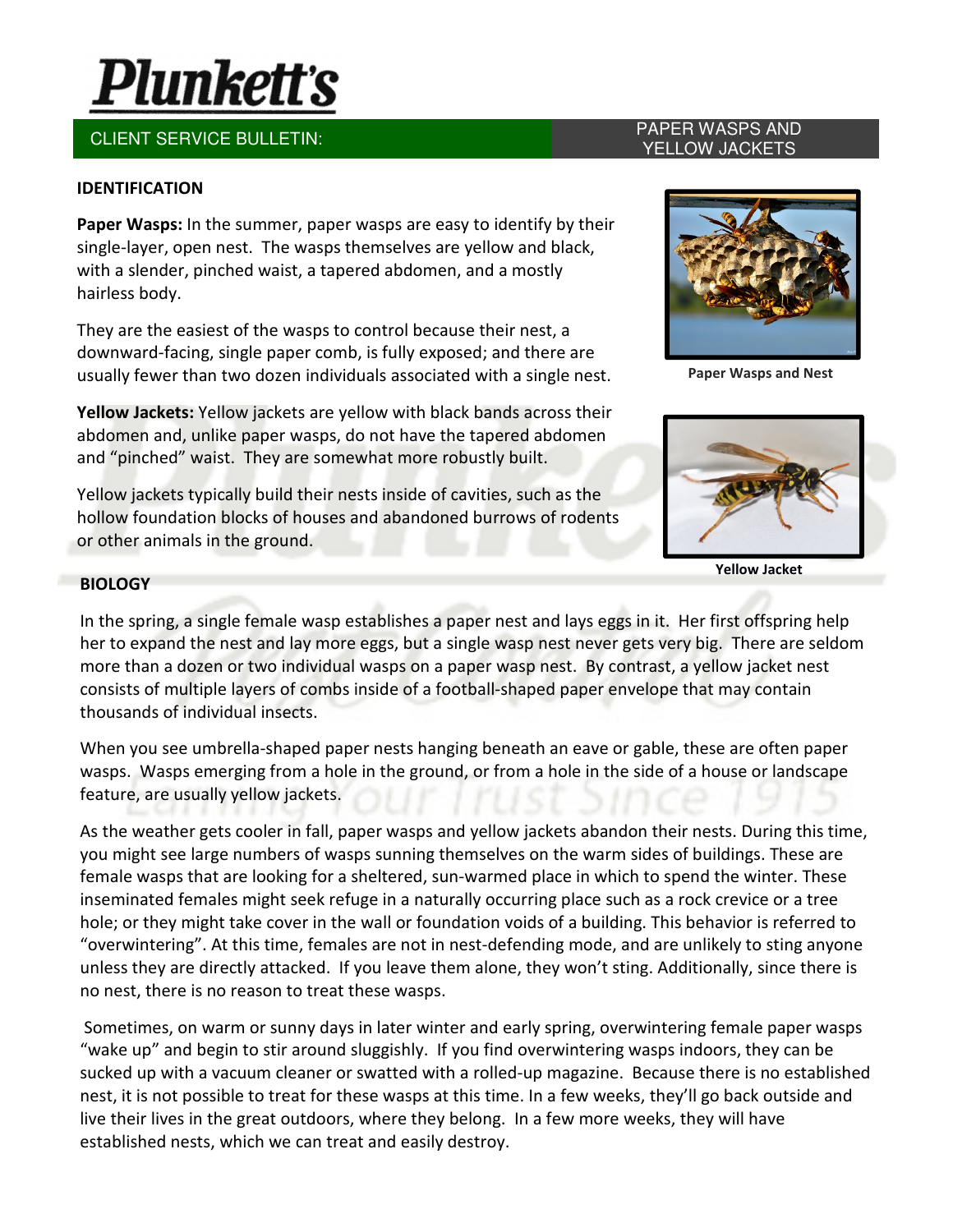# **Plunkett's**

## CLIENT SERVICE BULLETIN: PAPER WASPS AND

#### IDENTIFICATION

Paper Wasps: In the summer, paper wasps are easy to identify by their single-layer, open nest. The wasps themselves are yellow and black, with a slender, pinched waist, a tapered abdomen, and a mostly hairless body.

They are the easiest of the wasps to control because their nest, a downward-facing, single paper comb, is fully exposed; and there are usually fewer than two dozen individuals associated with a single nest.

Yellow Jackets: Yellow jackets are yellow with black bands across their abdomen and, unlike paper wasps, do not have the tapered abdomen and "pinched" waist. They are somewhat more robustly built.

Yellow jackets typically build their nests inside of cavities, such as the hollow foundation blocks of houses and abandoned burrows of rodents or other animals in the ground.

## YELLOW JACKETS



Paper Wasps and Nest



Yellow Jacket

#### **BIOLOGY**

In the spring, a single female wasp establishes a paper nest and lays eggs in it. Her first offspring help her to expand the nest and lay more eggs, but a single wasp nest never gets very big. There are seldom more than a dozen or two individual wasps on a paper wasp nest. By contrast, a yellow jacket nest consists of multiple layers of combs inside of a football-shaped paper envelope that may contain thousands of individual insects.

When you see umbrella-shaped paper nests hanging beneath an eave or gable, these are often paper wasps. Wasps emerging from a hole in the ground, or from a hole in the side of a house or landscape feature, are usually yellow jackets.

As the weather gets cooler in fall, paper wasps and yellow jackets abandon their nests. During this time, you might see large numbers of wasps sunning themselves on the warm sides of buildings. These are female wasps that are looking for a sheltered, sun-warmed place in which to spend the winter. These inseminated females might seek refuge in a naturally occurring place such as a rock crevice or a tree hole; or they might take cover in the wall or foundation voids of a building. This behavior is referred to "overwintering". At this time, females are not in nest-defending mode, and are unlikely to sting anyone unless they are directly attacked. If you leave them alone, they won't sting. Additionally, since there is no nest, there is no reason to treat these wasps.

 Sometimes, on warm or sunny days in later winter and early spring, overwintering female paper wasps "wake up" and begin to stir around sluggishly. If you find overwintering wasps indoors, they can be sucked up with a vacuum cleaner or swatted with a rolled-up magazine. Because there is no established nest, it is not possible to treat for these wasps at this time. In a few weeks, they'll go back outside and live their lives in the great outdoors, where they belong. In a few more weeks, they will have established nests, which we can treat and easily destroy.